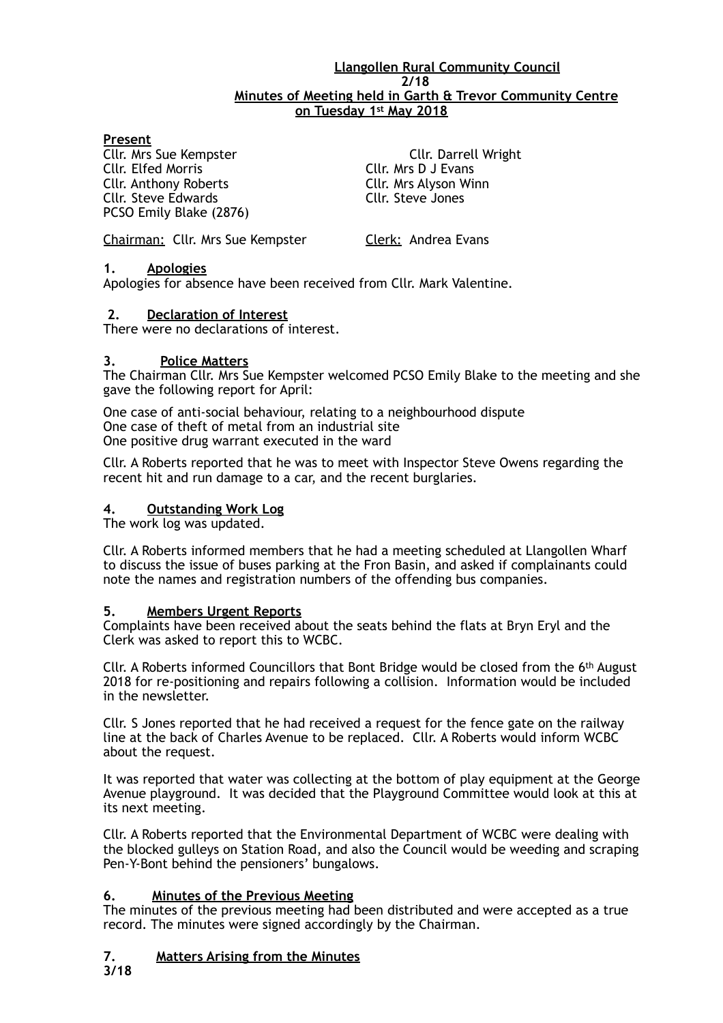#### **Llangollen Rural Community Council 2/18 Minutes of Meeting held in Garth & Trevor Community Centre on Tuesday 1st May 2018**

## **Present**

Cllr. Anthony Roberts Cllr. Mrs Alyson Winn Cllr. Steve Edwards Cllr. Steve Jones PCSO Emily Blake (2876)

**Cllr. Mrs Sue Kempster Cllr. Darrell Wright**<br>
Cllr. Elfed Morris Cllr. Mrs D J Evans Cllr. Mrs D J Evans

Chairman: Cllr. Mrs Sue Kempster Clerk: Andrea Evans

#### **1. Apologies**

Apologies for absence have been received from Cllr. Mark Valentine.

## **2. Declaration of Interest**

There were no declarations of interest.

#### **3. Police Matters**

The Chairman Cllr. Mrs Sue Kempster welcomed PCSO Emily Blake to the meeting and she gave the following report for April:

One case of anti-social behaviour, relating to a neighbourhood dispute One case of theft of metal from an industrial site One positive drug warrant executed in the ward

Cllr. A Roberts reported that he was to meet with Inspector Steve Owens regarding the recent hit and run damage to a car, and the recent burglaries.

#### **4. Outstanding Work Log**

The work log was updated.

Cllr. A Roberts informed members that he had a meeting scheduled at Llangollen Wharf to discuss the issue of buses parking at the Fron Basin, and asked if complainants could note the names and registration numbers of the offending bus companies.

#### **5. Members Urgent Reports**

Complaints have been received about the seats behind the flats at Bryn Eryl and the Clerk was asked to report this to WCBC.

Cllr. A Roberts informed Councillors that Bont Bridge would be closed from the  $6<sup>th</sup>$  August 2018 for re-positioning and repairs following a collision. Information would be included in the newsletter.

Cllr. S Jones reported that he had received a request for the fence gate on the railway line at the back of Charles Avenue to be replaced. Cllr. A Roberts would inform WCBC about the request.

It was reported that water was collecting at the bottom of play equipment at the George Avenue playground. It was decided that the Playground Committee would look at this at its next meeting.

Cllr. A Roberts reported that the Environmental Department of WCBC were dealing with the blocked gulleys on Station Road, and also the Council would be weeding and scraping Pen-Y-Bont behind the pensioners' bungalows.

## **6. Minutes of the Previous Meeting**

The minutes of the previous meeting had been distributed and were accepted as a true record. The minutes were signed accordingly by the Chairman.

# **7. Matters Arising from the Minutes**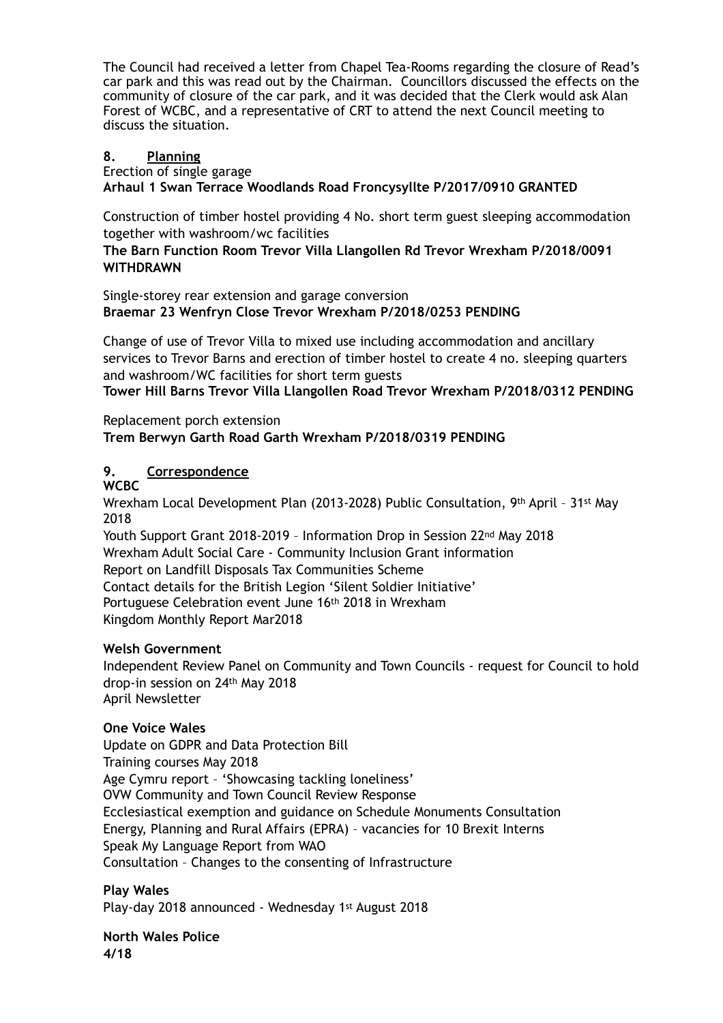The Council had received a letter from Chapel Tea-Rooms regarding the closure of Read's car park and this was read out by the Chairman. Councillors discussed the effects on the community of closure of the car park, and it was decided that the Clerk would ask Alan Forest of WCBC, and a representative of CRT to attend the next Council meeting to discuss the situation.

## **8. Planning**

Erection of single garage

**Arhaul 1 Swan Terrace Woodlands Road Froncysyllte P/2017/0910 GRANTED** 

Construction of timber hostel providing 4 No. short term guest sleeping accommodation together with washroom/wc facilities

**The Barn Function Room Trevor Villa Llangollen Rd Trevor Wrexham P/2018/0091 WITHDRAWN** 

Single-storey rear extension and garage conversion **Braemar 23 Wenfryn Close Trevor Wrexham P/2018/0253 PENDING** 

Change of use of Trevor Villa to mixed use including accommodation and ancillary services to Trevor Barns and erection of timber hostel to create 4 no. sleeping quarters and washroom/WC facilities for short term guests **Tower Hill Barns Trevor Villa Llangollen Road Trevor Wrexham P/2018/0312 PENDING** 

Replacement porch extension **Trem Berwyn Garth Road Garth Wrexham P/2018/0319 PENDING** 

# **9. Correspondence**

**WCBC** 

Wrexham Local Development Plan (2013-2028) Public Consultation, 9th April – 31st May 2018

Youth Support Grant 2018-2019 – Information Drop in Session 22nd May 2018 Wrexham Adult Social Care - Community Inclusion Grant information Report on Landfill Disposals Tax Communities Scheme Contact details for the British Legion 'Silent Soldier Initiative' Portuguese Celebration event June 16th 2018 in Wrexham Kingdom Monthly Report Mar2018

## **Welsh Government**

Independent Review Panel on Community and Town Councils - request for Council to hold drop-in session on 24th May 2018 April Newsletter

## **One Voice Wales**

Update on GDPR and Data Protection Bill Training courses May 2018 Age Cymru report – 'Showcasing tackling loneliness' OVW Community and Town Council Review Response Ecclesiastical exemption and guidance on Schedule Monuments Consultation Energy, Planning and Rural Affairs (EPRA) – vacancies for 10 Brexit Interns Speak My Language Report from WAO Consultation – Changes to the consenting of Infrastructure

**Play Wales**  Play-day 2018 announced - Wednesday 1st August 2018

**North Wales Police 4/18**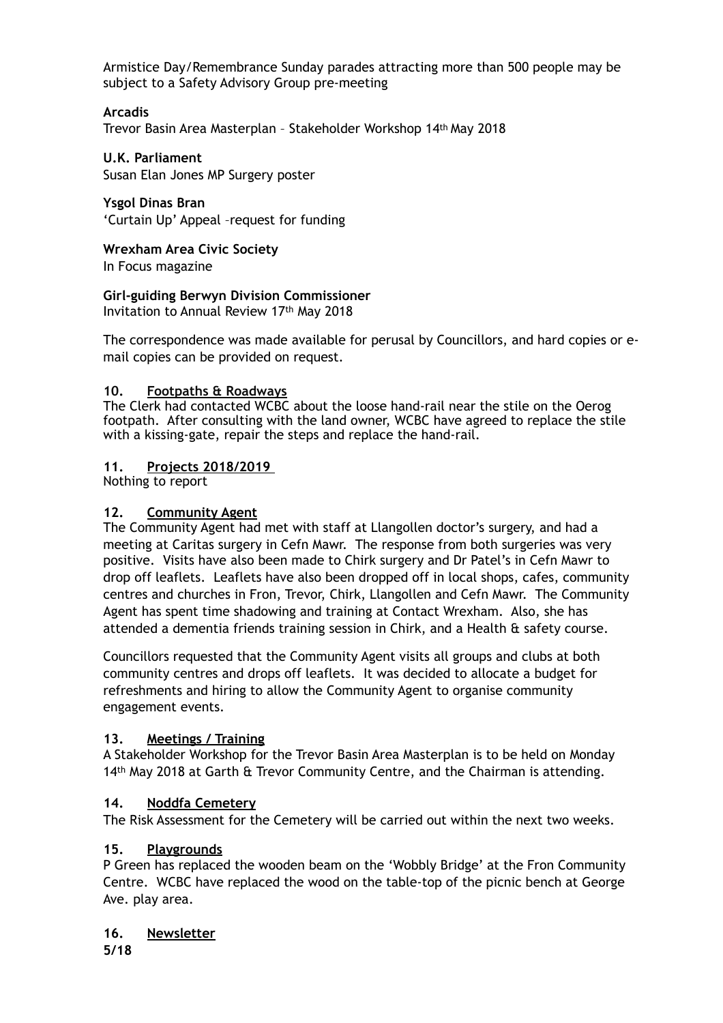Armistice Day/Remembrance Sunday parades attracting more than 500 people may be subject to a Safety Advisory Group pre-meeting

## **Arcadis**

Trevor Basin Area Masterplan – Stakeholder Workshop 14th May 2018

**U.K. Parliament**  Susan Elan Jones MP Surgery poster

**Ysgol Dinas Bran**  'Curtain Up' Appeal –request for funding

**Wrexham Area Civic Society** 

In Focus magazine

## **Girl-guiding Berwyn Division Commissioner**

Invitation to Annual Review 17th May 2018

The correspondence was made available for perusal by Councillors, and hard copies or email copies can be provided on request.

## **10. Footpaths & Roadways**

The Clerk had contacted WCBC about the loose hand-rail near the stile on the Oerog footpath. After consulting with the land owner, WCBC have agreed to replace the stile with a kissing-gate, repair the steps and replace the hand-rail.

## **11. Projects 2018/2019**

Nothing to report

## **12. Community Agent**

The Community Agent had met with staff at Llangollen doctor's surgery, and had a meeting at Caritas surgery in Cefn Mawr. The response from both surgeries was very positive. Visits have also been made to Chirk surgery and Dr Patel's in Cefn Mawr to drop off leaflets. Leaflets have also been dropped off in local shops, cafes, community centres and churches in Fron, Trevor, Chirk, Llangollen and Cefn Mawr. The Community Agent has spent time shadowing and training at Contact Wrexham. Also, she has attended a dementia friends training session in Chirk, and a Health & safety course.

Councillors requested that the Community Agent visits all groups and clubs at both community centres and drops off leaflets. It was decided to allocate a budget for refreshments and hiring to allow the Community Agent to organise community engagement events.

# **13. Meetings / Training**

A Stakeholder Workshop for the Trevor Basin Area Masterplan is to be held on Monday 14<sup>th</sup> May 2018 at Garth & Trevor Community Centre, and the Chairman is attending.

# **14. Noddfa Cemetery**

The Risk Assessment for the Cemetery will be carried out within the next two weeks.

## **15. Playgrounds**

P Green has replaced the wooden beam on the 'Wobbly Bridge' at the Fron Community Centre. WCBC have replaced the wood on the table-top of the picnic bench at George Ave. play area.

## **16. Newsletter**

**5/18**